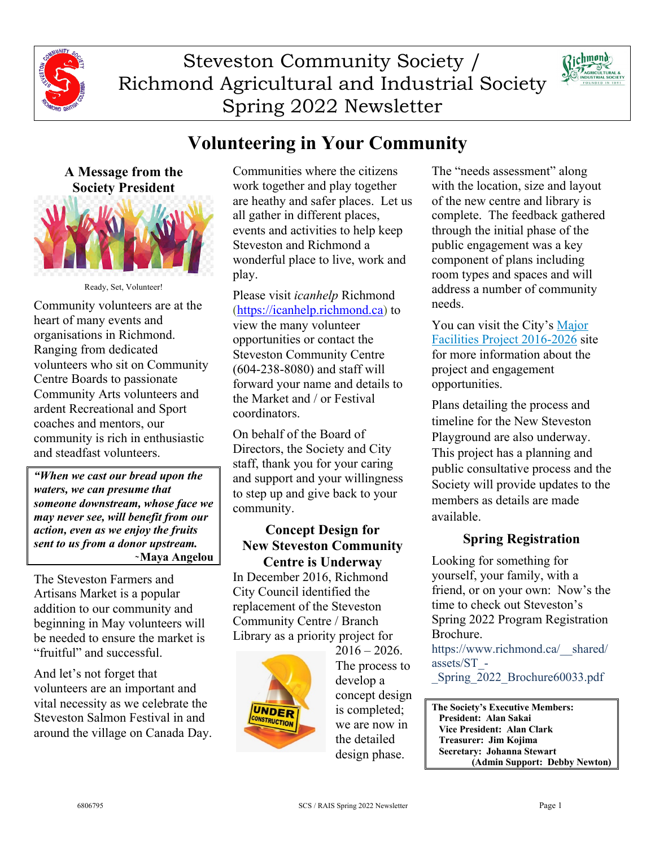

Steveston Community Society / Richmond Agricultural and Industrial Society Spring 2022 Newsletter



# **Volunteering in Your Community**



Ready, Set, Volunteer!

Community volunteers are at the heart of many events and organisations in Richmond. Ranging from dedicated volunteers who sit on Community Centre Boards to passionate Community Arts volunteers and ardent Recreational and Sport coaches and mentors, our community is rich in enthusiastic and steadfast volunteers.

*"When we cast our bread upon the waters, we can presume that someone downstream, whose face we may never see, will benefit from our action, even as we enjoy the fruits sent to us from a donor upstream.* ̴**Maya Angelou**

The Steveston Farmers and Artisans Market is a popular addition to our community and beginning in May volunteers will be needed to ensure the market is "fruitful" and successful.

And let's not forget that volunteers are an important and vital necessity as we celebrate the Steveston Salmon Festival in and around the village on Canada Day. Communities where the citizens work together and play together are heathy and safer places. Let us all gather in different places, events and activities to help keep Steveston and Richmond a wonderful place to live, work and play.

Please visit *icanhelp* Richmond (https://icanhelp.richmond.ca) to view the many volunteer opportunities or contact the Steveston Community Centre (604-238-8080) and staff will forward your name and details to the Market and / or Festival coordinators.

On behalf of the Board of Directors, the Society and City staff, thank you for your caring and support and your willingness to step up and give back to your community.

### **Concept Design for New Steveston Community Centre is Underway**

In December 2016, Richmond City Council identified the replacement of the Steveston Community Centre / Branch Library as a priority project for



 $2016 - 2026$ . The process to develop a concept design is completed; we are now in the detailed design phase.

The "needs assessment" along with the location, size and layout of the new centre and library is complete. The feedback gathered through the initial phase of the public engagement was a key component of plans including room types and spaces and will address a number of community needs.

You can visit the City's Major Facilities Project 2016-2026 site for more information about the project and engagement opportunities.

Plans detailing the process and timeline for the New Steveston Playground are also underway. This project has a planning and public consultative process and the Society will provide updates to the members as details are made available.

## **Spring Registration**

Looking for something for yourself, your family, with a friend, or on your own: Now's the time to check out Steveston's Spring 2022 Program Registration Brochure.

https://www.richmond.ca/\_\_shared/ assets/ST\_-

\_Spring\_2022\_Brochure60033.pdf

**The Society's Executive Members: President: Alan Sakai Vice President: Alan Clark Treasurer: Jim Kojima Secretary: Johanna Stewart (Admin Support: Debby Newton)**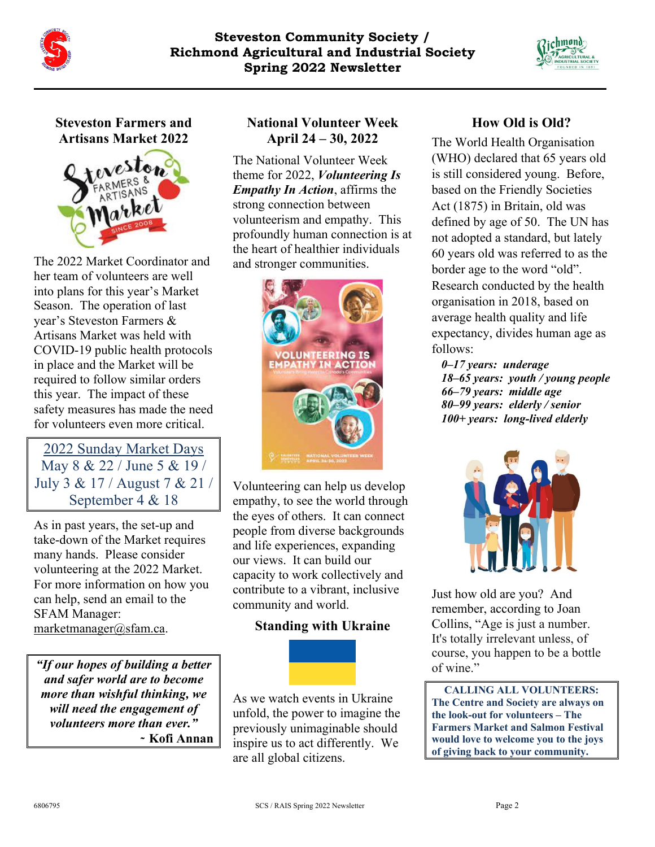



## **Steveston Farmers and Artisans Market 2022**



The 2022 Market Coordinator and her team of volunteers are well into plans for this year's Market Season. The operation of last year's Steveston Farmers & Artisans Market was held with COVID-19 public health protocols in place and the Market will be required to follow similar orders this year. The impact of these safety measures has made the need for volunteers even more critical.

2022 Sunday Market Days May 8 & 22 / June 5 & 19 / July 3 & 17 / August 7 & 21 / September 4 & 18

As in past years, the set-up and take-down of the Market requires many hands. Please consider volunteering at the 2022 Market. For more information on how you can help, send an email to the SFAM Manager: marketmanager@sfam.ca.

*"If our hopes of building a better and safer world are to become more than wishful thinking, we will need the engagement of volunteers more than ever."*  **̴ Kofi Annan**

## **National Volunteer Week April 24 – 30, 2022**

The National Volunteer Week theme for 2022, *Volunteering Is Empathy In Action*, affirms the strong connection between volunteerism and empathy. This profoundly human connection is at the heart of healthier individuals and stronger communities.



Volunteering can help us develop empathy, to see the world through the eyes of others. It can connect people from diverse backgrounds and life experiences, expanding our views. It can build our capacity to work collectively and contribute to a vibrant, inclusive community and world.

### **Standing with Ukraine**

As we watch events in Ukraine unfold, the power to imagine the previously unimaginable should inspire us to act differently. We are all global citizens.

## **How Old is Old?**

The World Health Organisation (WHO) declared that 65 years old is still considered young. Before, based on the Friendly Societies Act (1875) in Britain, old was defined by age of 50. The UN has not adopted a standard, but lately 60 years old was referred to as the border age to the word "old". Research conducted by the health organisation in 2018, based on average health quality and life expectancy, divides human age as follows:

*0–17 years: underage 18–65 years: youth / young people 66–79 years: middle age 80–99 years: elderly / senior 100+ years: long-lived elderly*



Just how old are you? And remember, according to Joan Collins, "Age is just a number. It's totally irrelevant unless, of course, you happen to be a bottle of wine."

**CALLING ALL VOLUNTEERS: The Centre and Society are always on the look-out for volunteers – The Farmers Market and Salmon Festival would love to welcome you to the joys of giving back to your community.**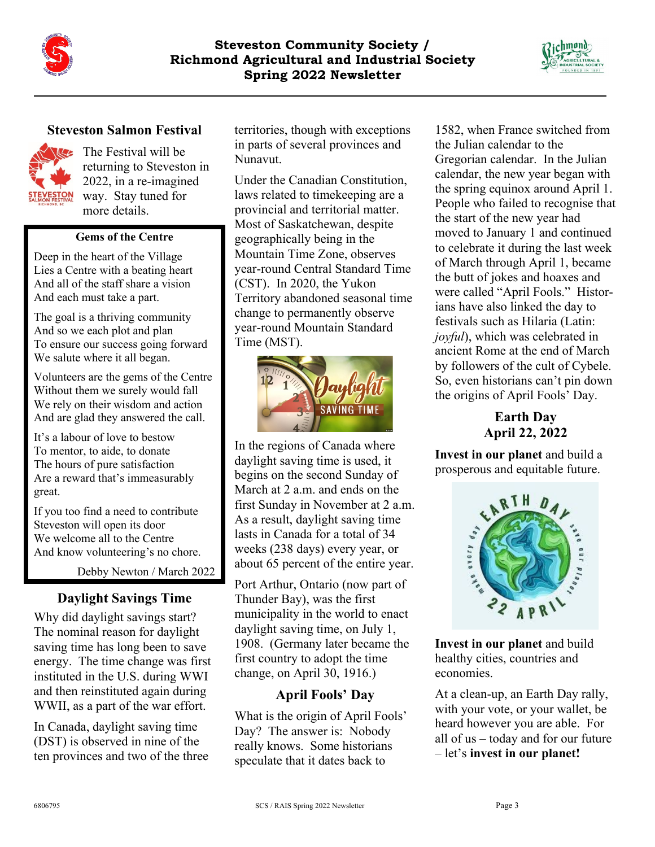



### **Steveston Salmon Festival**



**The Festival will be** returning to Steveston in 2022, in a re-imagined way. Stay tuned for more details.

#### **Gems of the Centre**

Deep in the heart of the Village Lies a Centre with a beating heart And all of the staff share a vision And each must take a part.

The goal is a thriving community And so we each plot and plan To ensure our success going forward We salute where it all began.

Volunteers are the gems of the Centre Without them we surely would fall We rely on their wisdom and action And are glad they answered the call.

It's a labour of love to bestow To mentor, to aide, to donate The hours of pure satisfaction Are a reward that's immeasurably great.

If you too find a need to contribute Steveston will open its door We welcome all to the Centre And know volunteering's no chore.

Debby Newton / March 2022

### **Daylight Savings Time**

Why did daylight savings start? The nominal reason for daylight saving time has long been to save energy. The time change was first instituted in the U.S. during WWI and then reinstituted again during WWII, as a part of the war effort.

In Canada, daylight saving time (DST) is observed in nine of the ten provinces and two of the three territories, though with exceptions in parts of several provinces and Nunavut.

Under the Canadian Constitution, laws related to timekeeping are a provincial and territorial matter. Most of Saskatchewan, despite geographically being in the Mountain Time Zone, observes year-round Central Standard Time (CST). In 2020, the Yukon Territory abandoned seasonal time change to permanently observe year-round Mountain Standard Time (MST).



In the regions of Canada where daylight saving time is used, it begins on the second Sunday of March at 2 a.m. and ends on the first Sunday in November at 2 a.m. As a result, daylight saving time lasts in Canada for a total of 34 weeks (238 days) every year, or about 65 percent of the entire year.

Port Arthur, Ontario (now part of Thunder Bay), was the first municipality in the world to enact daylight saving time, on July 1, 1908. (Germany later became the first country to adopt the time change, on April 30, 1916.)

### **April Fools' Day**

What is the origin of April Fools' Day? The answer is: Nobody really knows. Some historians speculate that it dates back to

1582, when France switched from the Julian calendar to the Gregorian calendar. In the Julian calendar, the new year began with the spring equinox around April 1. People who failed to recognise that the start of the new year had moved to January 1 and continued to celebrate it during the last week of March through April 1, became the butt of jokes and hoaxes and were called "April Fools." Historians have also linked the day to festivals such as Hilaria (Latin: *joyful*), which was celebrated in ancient Rome at the end of March by followers of the cult of Cybele. So, even historians can't pin down the origins of April Fools' Day.

> **Earth Day April 22, 2022**

**Invest in our planet** and build a prosperous and equitable future.



**Invest in our planet** and build healthy cities, countries and economies.

At a clean-up, an Earth Day rally, with your vote, or your wallet, be heard however you are able. For all of us – today and for our future – let's **invest in our planet!**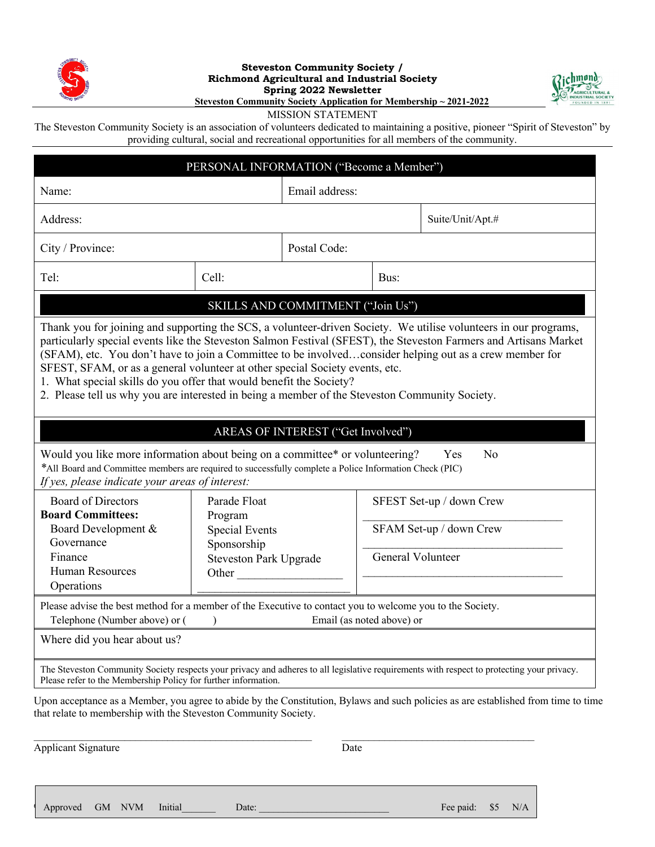

#### **Steveston Community Society / Richmond Agricultural and Industrial Society Spring 2022 Newsletter Steveston Community Society Application for Membership ~ 2021-2022**



MISSION STATEMENT

The Steveston Community Society is an association of volunteers dedicated to maintaining a positive, pioneer "Spirit of Steveston" by providing cultural, social and recreational opportunities for all members of the community.

| PERSONAL INFORMATION ("Become a Member")                                                                                                                                                                                                                                                                                                                                                                                                                                              |                                                       |                           |                          |                                                                                                                                            |  |
|---------------------------------------------------------------------------------------------------------------------------------------------------------------------------------------------------------------------------------------------------------------------------------------------------------------------------------------------------------------------------------------------------------------------------------------------------------------------------------------|-------------------------------------------------------|---------------------------|--------------------------|--------------------------------------------------------------------------------------------------------------------------------------------|--|
| Name:                                                                                                                                                                                                                                                                                                                                                                                                                                                                                 |                                                       | Email address:            |                          |                                                                                                                                            |  |
| Address:                                                                                                                                                                                                                                                                                                                                                                                                                                                                              |                                                       |                           |                          | Suite/Unit/Apt.#                                                                                                                           |  |
| City / Province:                                                                                                                                                                                                                                                                                                                                                                                                                                                                      |                                                       | Postal Code:              |                          |                                                                                                                                            |  |
| Tel:                                                                                                                                                                                                                                                                                                                                                                                                                                                                                  | Cell:                                                 |                           | Bus:                     |                                                                                                                                            |  |
| SKILLS AND COMMITMENT ("Join Us")                                                                                                                                                                                                                                                                                                                                                                                                                                                     |                                                       |                           |                          |                                                                                                                                            |  |
| particularly special events like the Steveston Salmon Festival (SFEST), the Steveston Farmers and Artisans Market<br>(SFAM), etc. You don't have to join a Committee to be involvedconsider helping out as a crew member for<br>SFEST, SFAM, or as a general volunteer at other special Society events, etc.<br>1. What special skills do you offer that would benefit the Society?<br>2. Please tell us why you are interested in being a member of the Steveston Community Society. |                                                       |                           |                          |                                                                                                                                            |  |
| AREAS OF INTEREST ("Get Involved")                                                                                                                                                                                                                                                                                                                                                                                                                                                    |                                                       |                           |                          |                                                                                                                                            |  |
| Would you like more information about being on a committee* or volunteering?<br>Yes<br>N <sub>0</sub><br>*All Board and Committee members are required to successfully complete a Police Information Check (PIC)<br>If yes, please indicate your areas of interest:                                                                                                                                                                                                                   |                                                       |                           |                          |                                                                                                                                            |  |
| <b>Board of Directors</b><br><b>Board Committees:</b>                                                                                                                                                                                                                                                                                                                                                                                                                                 | Parade Float<br>Program                               |                           | SFEST Set-up / down Crew |                                                                                                                                            |  |
| Board Development &<br>Governance                                                                                                                                                                                                                                                                                                                                                                                                                                                     | <b>Special Events</b>                                 |                           | SFAM Set-up / down Crew  |                                                                                                                                            |  |
| Finance<br><b>Human Resources</b><br>Operations                                                                                                                                                                                                                                                                                                                                                                                                                                       | Sponsorship<br><b>Steveston Park Upgrade</b><br>Other |                           |                          | General Volunteer                                                                                                                          |  |
| Please advise the best method for a member of the Executive to contact you to welcome you to the Society.<br>Telephone (Number above) or (                                                                                                                                                                                                                                                                                                                                            |                                                       | Email (as noted above) or |                          |                                                                                                                                            |  |
| Where did you hear about us?                                                                                                                                                                                                                                                                                                                                                                                                                                                          |                                                       |                           |                          |                                                                                                                                            |  |
| Please refer to the Membership Policy for further information.                                                                                                                                                                                                                                                                                                                                                                                                                        |                                                       |                           |                          | The Steveston Community Society respects your privacy and adheres to all legislative requirements with respect to protecting your privacy. |  |
| that relate to membership with the Steveston Community Society.                                                                                                                                                                                                                                                                                                                                                                                                                       |                                                       |                           |                          | Upon acceptance as a Member, you agree to abide by the Constitution, Bylaws and such policies as are established from time to time         |  |

Applicant Signature Date

 $\mathcal{L}_\mathcal{L} = \mathcal{L}_\mathcal{L} = \mathcal{L}_\mathcal{L} = \mathcal{L}_\mathcal{L} = \mathcal{L}_\mathcal{L} = \mathcal{L}_\mathcal{L} = \mathcal{L}_\mathcal{L} = \mathcal{L}_\mathcal{L} = \mathcal{L}_\mathcal{L} = \mathcal{L}_\mathcal{L} = \mathcal{L}_\mathcal{L} = \mathcal{L}_\mathcal{L} = \mathcal{L}_\mathcal{L} = \mathcal{L}_\mathcal{L} = \mathcal{L}_\mathcal{L} = \mathcal{L}_\mathcal{L} = \mathcal{L}_\mathcal{L}$ 

6806795 SCS / RAIS Spring 2022 Newsletter Page 4 Approved GM NVM Initial\_\_\_\_\_\_\_ Date: \_\_\_\_\_\_\_\_\_\_\_\_\_\_\_\_\_\_\_\_\_\_\_\_\_\_\_ Fee paid: \$5 N/A